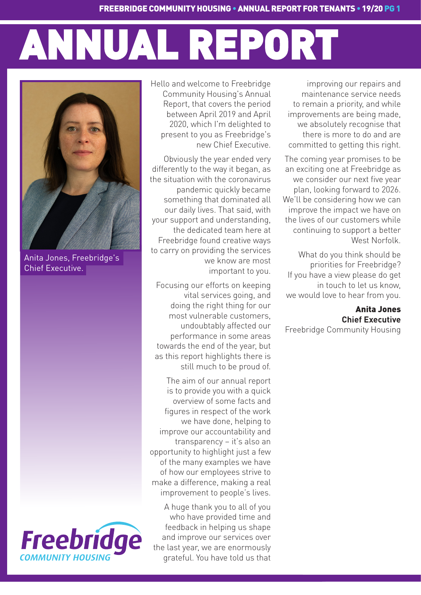# ANNUAL REPORT

improving our repairs and maintenance service needs to remain a priority, and while improvements are being made, we absolutely recognise that there is more to do and are committed to getting this right.

 The coming year promises to be an exciting one at Freebridge as we consider our next five year plan, looking forward to 2026. We'll be considering how we can improve the impact we have on the lives of our customers while continuing to support a better West Norfolk.

What do you think should be priorities for Freebridge? If you have a view please do get in touch to let us know, we would love to hear from you.

## Anita Jones **Chief Executive**

Freebridge Community Housing

Hello and welcome to Freebridge Community Housing's Annual Report, that covers the period between April 2019 and April 2020, which I'm delighted to present to you as Freebridge's new Chief Executive.

Obviously the year ended very differently to the way it began, as the situation with the coronavirus pandemic quickly became something that dominated all our daily lives. That said, with your support and understanding, the dedicated team here at Freebridge found creative ways to carry on providing the services we know are most important to you.

Focusing our efforts on keeping vital services going, and doing the right thing for our most vulnerable customers, undoubtably affected our performance in some areas towards the end of the year, but as this report highlights there is still much to be proud of.

 The aim of our annual report is to provide you with a quick overview of some facts and figures in respect of the work we have done, helping to improve our accountability and transparency – it's also an opportunity to highlight just a few of the many examples we have of how our employees strive to make a difference, making a real improvement to people's lives.

A huge thank you to all of you who have provided time and feedback in helping us shape and improve our services over the last year, we are enormously grateful. You have told us that



Anita Jones, Freebridge's Chief Executive.

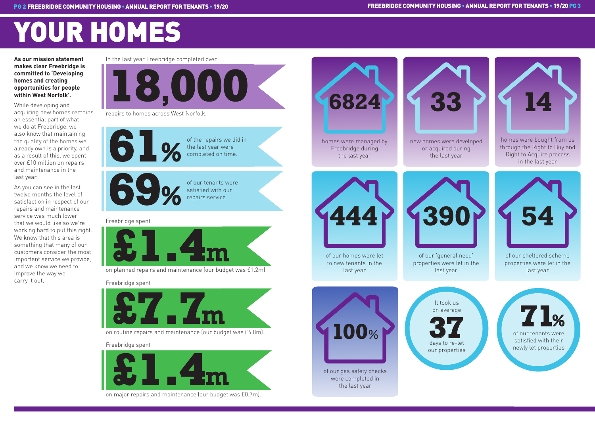## YOUR HOMES

**As our mission statement makes clear Freebridge is committed to 'Developing homes and creating opportunities for people within West Norfolk'.** 

While developing and acquiring new homes remains an essential part of what we do at Freebridge, we also know that maintaining the quality of the homes we already own is a priority, and as a result of this, we spent over £10 million on repairs and maintenance in the last year.

As you can see in the last twelve months the level of satisfaction in respect of our repairs and maintenance service was much lower that we would like so we're working hard to put this right. We know that this area is something that many of our customers consider the most important service we provide, and we know we need to improve the way we carry it out.

on planned repairs and maintenance (our budget was £1.2m).

of the repairs we did in the last year were completed on time.







on routine repairs and maintenance (our budget was £6.8m).

of our tenants were satisfied with our repairs service. **69**%

on major repairs and maintenance (our budget was £0.7m).

### Freebridge spent

### Freebridge spent

### Freebridge spent

In the last year Freebridge completed over





repairs to homes across West Norfolk.

homes were managed by Freebridge during the last year



of our homes were let to new tenants in the last year



homes were bought from us through the Right to Buy and Right to Acquire process in the last year





**33 14**

of our 'general need' properties were let in the last year



of our sheltered scheme properties were let in the last year

It took us

on average





days to re-let our properties



of our gas safety checks were completed in the last year

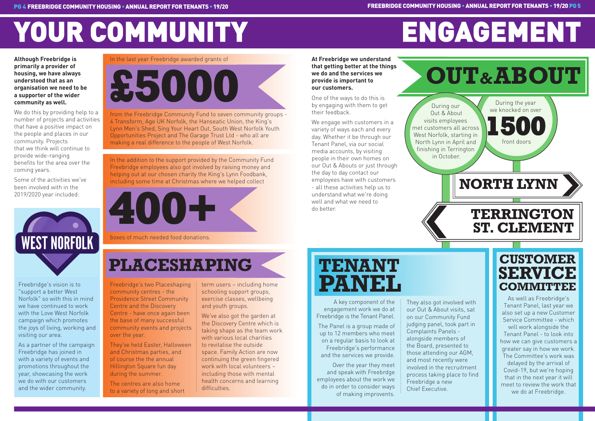# YOUR COMMUNITY

**Although Freebridge is primarily a provider of housing, we have always understood that as an organisation we need to be a supporter of the wider community as well.** 

We do this by providing help to a number of projects and activities that have a positive impact on the people and places in our community. Projects that we think will continue to provide wide-ranging benefits for the area over the coming years.

Some of the activities we've been involved with in the 2019/2020 year included:



In the addition to the support provided by the Community Fund Freebridge employees also got involved by raising money and helping out at our chosen charity the King's Lynn Foodbank, including some time at Christmas where we helped collect

In the last year Freebridge awarded grants of

**£5000**

from the Freebridge Community Fund to seven community groups - 4 Transform, Age UK Norfolk, the Hanseatic Union, the King's Lynn Men's Shed, Sing Your Heart Out, South West Norfolk Youth Opportunities Project and The Garage Trust Ltd - who all are making a real difference to the people of West Norfolk.

boxes of much needed food donations.

## **PLACESHAPING TENANT**

# **400+**

Freebridge's two Placeshaping community centres - the Providence Street Community Centre and the Discovery Centre - have once again been the base of many successful community events and projects over the year.

They've held Easter, Halloween and Christmas parties, and of course the the annual Hillington Square fun day during the summer.

## do better.<br>TERRINGTON **ST. CLEMENT**

The centres are also home to a variety of long and short term users – including home schooling support groups, exercise classes, wellbeing and youth groups.

We've also got the garden at the Discovery Centre which is taking shape as the team work with various local charities to revitalise the outside space. Family Action are now continuing the green fingered work with local volunteers – including those with mental health concerns and learning difficulties.

Freebridge's vision is to "support a better West Norfolk" so with this in mind we have continued to work with the Love West Norfolk campaign which promotes the joys of living, working and visiting our area.

As a partner of the campaign Freebridge has joined in with a variety of events and promotions throughout the year, showcasing the work we do with our customers and the wider community.

# ENGAGEMENT

During the year we knocked on over

**At Freebridge we understand that getting better at the things we do and the services we provide is important to our customers.**

One of the ways to do this is by engaging with them to get their feedback.

 front doors **1500**

We engage with customers in a variety of ways each and every day. Whether it be through our Tenant Panel, via our social media accounts, by visiting people in their own homes on our Out & Abouts or just through the day to day contact our employees have with customers - all these activities help us to understand what we're doing well and what we need to

During our Out & About visits employees met customers all across West Norfolk, starting in North Lynn in April and finishing in Terrington



in October.

# **PANEL**

## **CUSTOMER SERVICE COMMITTEE**

As well as Freebridge's Tenant Panel, last year we also set up a new Customer Service Committee - which will work alongside the Tenant Panel - to look into how we can give customers a greater say in how we work. The Committee's work was delayed by the arrival of Covid-19, but we're hoping that in the next year it will meet to review the work that we do at Freebridge.

A key component of the engagement work we do at Freebridge is the Tenant Panel.

The Panel is a group made of up to 12 members who meet on a regular basis to look at Freebridge's performance and the services we provide.

Over the year they meet and speak with Freebrdge employees about the work we do in order to consider ways of making improvents.

They also got involved with our Out & About visits, sat on our Community Fund judging panel, took part in Complaints Panels alongside members of the Board, presented to those attending our AGM, and most recently were involved in the recruitment process taking place to find Freebridge a new Chief Executive.

## **OUT&ABOUT**

**NORTH LYNN**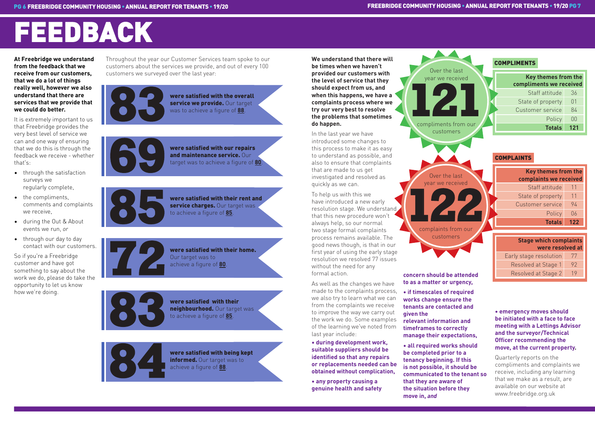# FEEDBACK

**At Freebridge we understand from the feedback that we receive from our customers, that we do a lot of things really well, however we also understand that there are services that we provide that we could do better.** 

It is extremely important to us that Freebridge provides the very best level of service we can and one way of ensuring that we do this is through the feedback we receive - whether that's:

- through the satisfaction surveys we regularly complete,
- the compliments, comments and complaints we receive,
- during the Out & About events we run, *or*
- through our day to day contact with our customers.

So if you're a Freebridge customer and have got something to say about the work we do, please do take the opportunity to let us know how we're doing.

Throughout the year our Customer Services team spoke to our customers about the services we provide, and out of every 100 customers we surveyed over the last year:







**84**

We understand that there will **We understand that there will We understand that there will be used to a set of the United States of the United States of the United States of the United States of the United States of the be times when we haven't provided our customers with the level of service that they should expect from us, and when this happens, we have a complaints process where we try our very best to resolve the problems that sometimes do happen.**

were satisfied with the overall service we provide. Our target was to achieve a figure of **88**.



were satisfied with being kept informed. Our target was to achieve a figure of **88**.

**72** were satisfied with their home. Our target was to achieve a figure of **80**.

were satisfied with their rent and service charges. Our target was to achieve a figure of **85**.

were satisfied with our repairs and maintenance service. Our target was to achieve a figure of **80**.

| <b>Key themes from the</b><br>complaints we received |     |  |
|------------------------------------------------------|-----|--|
| Staff attitude                                       | 11  |  |
| State of property                                    | 11  |  |
| <b>Customer service</b>                              | 94  |  |
| Policy                                               | 06  |  |
| <b>Totals</b>                                        | 122 |  |

| <b>Stage which complaints</b><br>were resolved at |    |  |
|---------------------------------------------------|----|--|
| Early stage resolution                            | 77 |  |
| Resolved at Stage 1                               | 92 |  |

Resolved at Stage 2 19

## COMPLAINTS

| Key themes from the<br>compliments we received |     |  |
|------------------------------------------------|-----|--|
| Staff attitude                                 | 36  |  |
| State of property                              | 01  |  |
| Customer service                               | 84  |  |
| Policy                                         | ΩÜ  |  |
| <b>Totals</b>                                  | 121 |  |

In the last year we have introduced some changes to this process to make it as easy to understand as possible, and also to ensure that complaints that are made to us get investigated and resolved as quickly as we can.

To help us with this we have introduced a new early resolution stage. We understand that this new procedure won't always help, so our normal two stage formal complaints process remains available. The good news though, is that in our first year of using the early stage resolution we resolved 77 issues without the need for any formal action.

As well as the changes we have made to the complaints process, we also try to learn what we can from the complaints we receive to improve the way we carry out the work we do. Some examples of the learning we've noted from last year include:

**• during development work, suitable suppliers should be identified so that any repairs or replacements needed can be obtained without complication,** 

**• any property causing a genuine health and safety**  **121**

Over the last year we received

compliments from our customers

> Over the last year we received

**122** complaints from our customers

**concern should be attended to as a matter or urgency,** 

**• if timescales of required works change ensure the tenants are contacted and given the** 

**relevant information and timeframes to correctly manage their expectations,**

**• all required works should be completed prior to a tenancy beginning. If this is not possible, it should be communicated to the tenant so that they are aware of the situation before they move in,** *and*

### **• emergency moves should be initiated with a face to face meeting with a Lettings Advisor and the surveyor/Technical Officer recommending the move, at the current property.**

Quarterly reports on the compliments and complaints we receive, including any learning that we make as a result, are available on our website at www.freebridge.org.uk